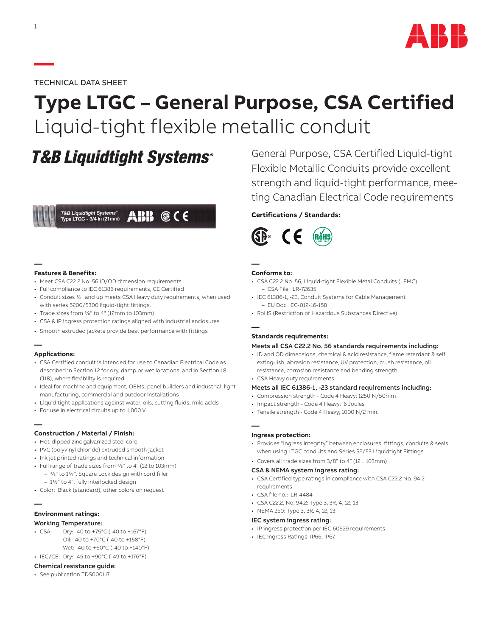

TECHNICAL DATA SHEET

# **Type LTGC – General Purpose, CSA Certified** Liquid-tight flexible metallic conduit

## **T&B Liquidtight Systems®**



#### **Features & Benefits:**

**—**

**—**

**—**

- Meet CSA C22.2 No. 56 ID/OD dimension requirements
- Full compliance to IEC 61386 requirements, CE Certified
- Conduit sizes 1/2" and up meets CSA Heavy duty requirements, when used with series 5200/5300 liquid-tight fittings.
- Trade sizes from 3/8" to 4" (12mm to 103mm)
- CSA & IP ingress protection ratings aligned with industrial enclosures
- Smooth extruded jackets provide best performance with fittings

#### **Applications:**

- CSA Certified conduit is intended for use to Canadian Electrical Code as described in Section 12 for dry, damp or wet locations, and in Section 18 (J18), where flexibility is required
- Ideal for machine and equipment, OEMs, panel builders and industrial, light manufacturing, commercial and outdoor installations
- Liquid tight applications against water, oils, cutting fluids, mild acids
- For use in electrical circuits up to 1,000 V

#### **Construction / Material / Finish:**

- Hot-dipped zinc galvanized steel core
- PVC (polyvinyl chloride) extruded smooth jacket
- Ink jet printed ratings and technical information
- Full range of trade sizes from 3/8" to 4" (12 to 103mm) – 3/8" to 11/4", Square Lock design with cord filler
	- 11/2" to 4", fully interlocked design
- Color: Black (standard), other colors on request

### **— Environment ratings:**

#### Working Temperature:

- CSA: Dry: -40 to +75°C (-40 to +167°F) Oil: -40 to +70°C (-40 to +158°F) Wet: -40 to +60°C (-40 to +140°F)
- IEC/CE: Dry: -45 to +90°C (-49 to +176°F)

#### Chemical resistance guide:

• See publication TDS000117

General Purpose, CSA Certified Liquid-tight Flexible Metallic Conduits provide excellent strength and liquid-tight performance, meeting Canadian Electrical Code requirements

#### **Certifications / Standards:**



#### **Conforms to:**

- CSA C22.2 No. 56, Liquid-tight Flexible Metal Conduits (LFMC) – CSA File: LR-72635
- IEC 61386-1, -23, Conduit Systems for Cable Management – EU Doc: EC-012-16-158
- RoHS (Restriction of Hazardous Substances Directive)

#### **—**

**—**

#### **Standards requirements:**

#### Meets all CSA C22.2 No. 56 standards requirements including:

- ID and OD dimensions, chemical & acid resistance, flame retardant & self extinguish, abrasion resistance, UV protection, crush resistance, oil resistance, corrosion resistance and bending strength
- CSA Heavy duty requirements

#### Meets all IEC 61386-1, -23 standard requirements including:

- Compression strength Code 4 Heavy; 1250 N/50mm
- Impact strength Code 4 Heavy; 6 Joules
- Tensile strength Code 4 Heavy; 1000 N/2 min.

#### **— Ingress protection:**

- Provides "Ingress Integrity" between enclosures, fittings, conduits & seals when using LTGC conduits and Series 52/53 Liquidtight Fittings
- Covers all trade sizes from 3/8" to 4" (12 .. 103mm)

#### CSA & NEMA system ingress rating:

- CSA Certified type ratings in compliance with CSA C22.2 No. 94.2 requirements
- $\cdot$  CSA file no  $\cdot$  LR-4484
- CSA C22.2, No. 94.2: Type 3, 3R, 4, 12, 13
- NEMA 250: Type 3, 3R, 4, 12, 13

#### IEC system ingress rating:

- IP ingress protection per IEC 60529 requirements
- IEC ingress Ratings: IP66, IP67

**—**